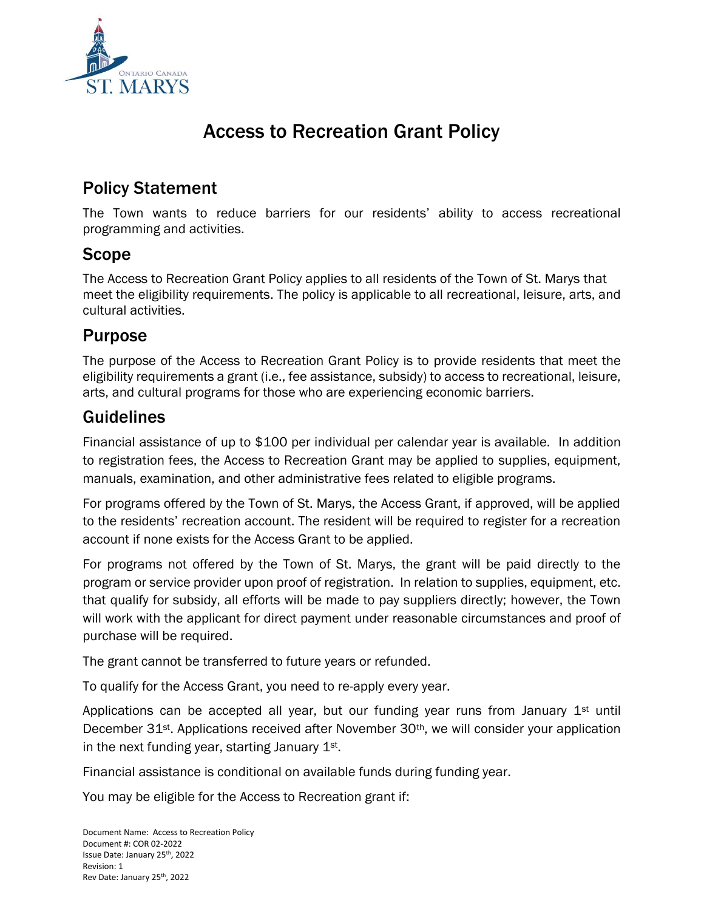

# Access to Recreation Grant Policy

## Policy Statement

The Town wants to reduce barriers for our residents' ability to access recreational programming and activities.

### Scope

The Access to Recreation Grant Policy applies to all residents of the Town of St. Marys that meet the eligibility requirements. The policy is applicable to all recreational, leisure, arts, and cultural activities.

### Purpose

The purpose of the Access to Recreation Grant Policy is to provide residents that meet the eligibility requirements a grant (i.e., fee assistance, subsidy) to access to recreational, leisure, arts, and cultural programs for those who are experiencing economic barriers.

### Guidelines

Financial assistance of up to \$100 per individual per calendar year is available. In addition to registration fees, the Access to Recreation Grant may be applied to supplies, equipment, manuals, examination, and other administrative fees related to eligible programs.

For programs offered by the Town of St. Marys, the Access Grant, if approved, will be applied to the residents' recreation account. The resident will be required to register for a recreation account if none exists for the Access Grant to be applied.

For programs not offered by the Town of St. Marys, the grant will be paid directly to the program or service provider upon proof of registration. In relation to supplies, equipment, etc. that qualify for subsidy, all efforts will be made to pay suppliers directly; however, the Town will work with the applicant for direct payment under reasonable circumstances and proof of purchase will be required.

The grant cannot be transferred to future years or refunded.

To qualify for the Access Grant, you need to re-apply every year.

Applications can be accepted all year, but our funding year runs from January  $1<sup>st</sup>$  until December 31<sup>st</sup>. Applications received after November 30<sup>th</sup>, we will consider your application in the next funding year, starting January 1st.

Financial assistance is conditional on available funds during funding year.

You may be eligible for the Access to Recreation grant if: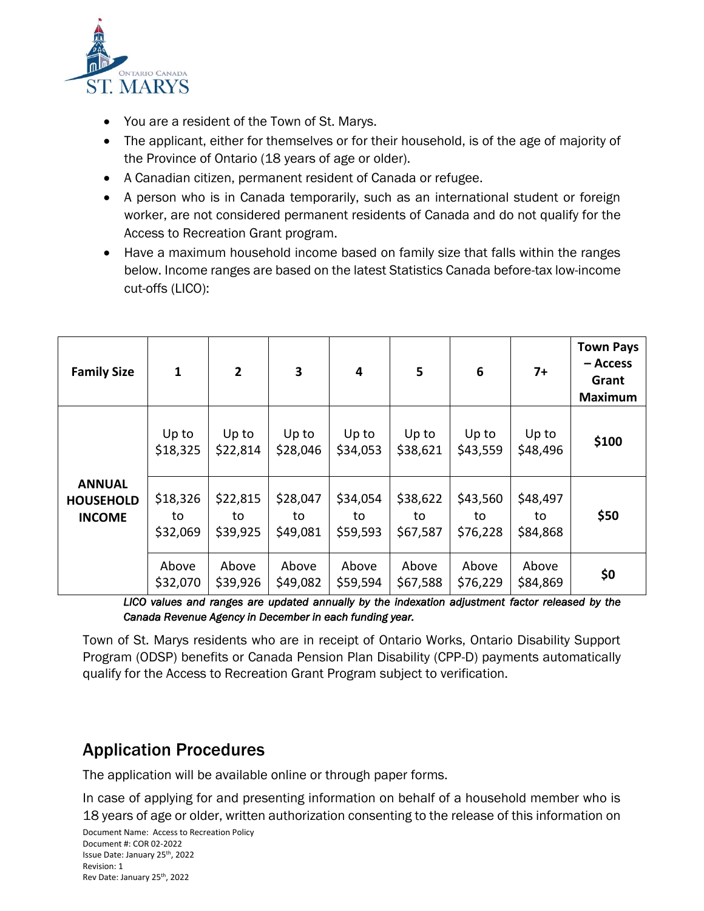

- You are a resident of the Town of St. Marys.
- The applicant, either for themselves or for their household, is of the age of majority of the Province of Ontario (18 years of age or older).
- A Canadian citizen, permanent resident of Canada or refugee.
- A person who is in Canada temporarily, such as an international student or foreign worker, are not considered permanent residents of Canada and do not qualify for the Access to Recreation Grant program.
- Have a maximum household income based on family size that falls within the ranges below. Income ranges are based on the latest Statistics Canada before-tax low-income cut-offs (LICO):

| <b>Family Size</b>                                 | 1                          | $\overline{2}$             | $\overline{\mathbf{3}}$    | 4                          | 5                          | 6                          | $7+$                       | <b>Town Pays</b><br>– Access<br>Grant<br><b>Maximum</b> |
|----------------------------------------------------|----------------------------|----------------------------|----------------------------|----------------------------|----------------------------|----------------------------|----------------------------|---------------------------------------------------------|
|                                                    | Up to<br>\$18,325          | Up to<br>\$22,814          | Up to<br>\$28,046          | Up to<br>\$34,053          | Up to<br>\$38,621          | Up to<br>\$43,559          | Up to<br>\$48,496          | \$100                                                   |
| <b>ANNUAL</b><br><b>HOUSEHOLD</b><br><b>INCOME</b> | \$18,326<br>to<br>\$32,069 | \$22,815<br>to<br>\$39,925 | \$28,047<br>to<br>\$49,081 | \$34,054<br>to<br>\$59,593 | \$38,622<br>to<br>\$67,587 | \$43,560<br>to<br>\$76,228 | \$48,497<br>to<br>\$84,868 | \$50                                                    |
|                                                    | Above<br>\$32,070          | Above<br>\$39,926          | Above<br>\$49,082          | Above<br>\$59,594          | Above<br>\$67,588          | Above<br>\$76,229          | Above<br>\$84,869          | \$0                                                     |

*LICO values and ranges are updated annually by the indexation adjustment factor released by the Canada Revenue Agency in December in each funding year.* 

Town of St. Marys residents who are in receipt of Ontario Works, Ontario Disability Support Program (ODSP) benefits or Canada Pension Plan Disability (CPP-D) payments automatically qualify for the Access to Recreation Grant Program subject to verification.

### Application Procedures

The application will be available online or through paper forms.

In case of applying for and presenting information on behalf of a household member who is 18 years of age or older, written authorization consenting to the release of this information on

Document Name: Access to Recreation Policy Document #: COR 02-2022 Issue Date: January 25th, 2022 Revision: 1 Rev Date: January 25th, 2022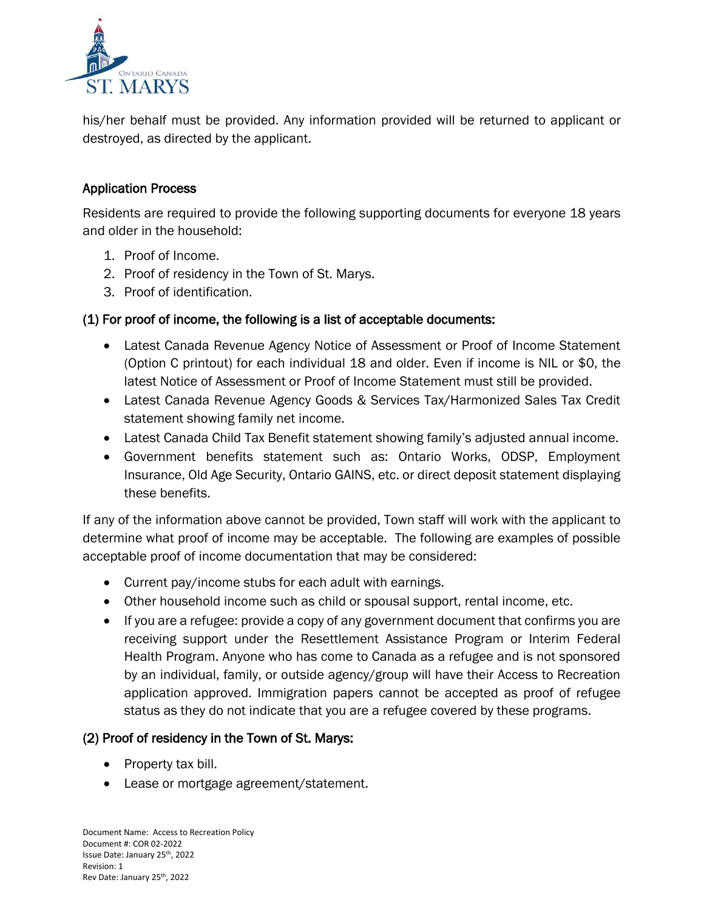

his/her behalf must be provided. Any information provided will be returned to applicant or destroyed, as directed by the applicant.

#### Application Process

Residents are required to provide the following supporting documents for everyone 18 years and older in the household:

- 1. Proof of Income.
- 2. Proof of residency in the Town of St. Marys.
- 3. Proof of identification.

#### (1) For proof of income, the following is a list of acceptable documents:

- Latest Canada Revenue Agency Notice of Assessment or Proof of Income Statement (Option C printout) for each individual 18 and older. Even if income is NIL or \$0, the latest Notice of Assessment or Proof of Income Statement must still be provided.
- Latest Canada Revenue Agency Goods & Services Tax/Harmonized Sales Tax Credit statement showing family net income.
- Latest Canada Child Tax Benefit statement showing family's adjusted annual income.
- Government benefits statement such as: Ontario Works, ODSP, Employment Insurance, Old Age Security, Ontario GAINS, etc. or direct deposit statement displaying these benefits.

If any of the information above cannot be provided, Town staff will work with the applicant to determine what proof of income may be acceptable. The following are examples of possible acceptable proof of income documentation that may be considered:

- Current pay/income stubs for each adult with earnings.
- Other household income such as child or spousal support, rental income, etc.
- If you are a refugee: provide a copy of any government document that confirms you are receiving support under the Resettlement Assistance Program or Interim Federal Health Program. Anyone who has come to Canada as a refugee and is not sponsored by an individual, family, or outside agency/group will have their Access to Recreation application approved. Immigration papers cannot be accepted as proof of refugee status as they do not indicate that you are a refugee covered by these programs.

#### (2) Proof of residency in the Town of St. Marys:

- Property tax bill.
- Lease or mortgage agreement/statement.